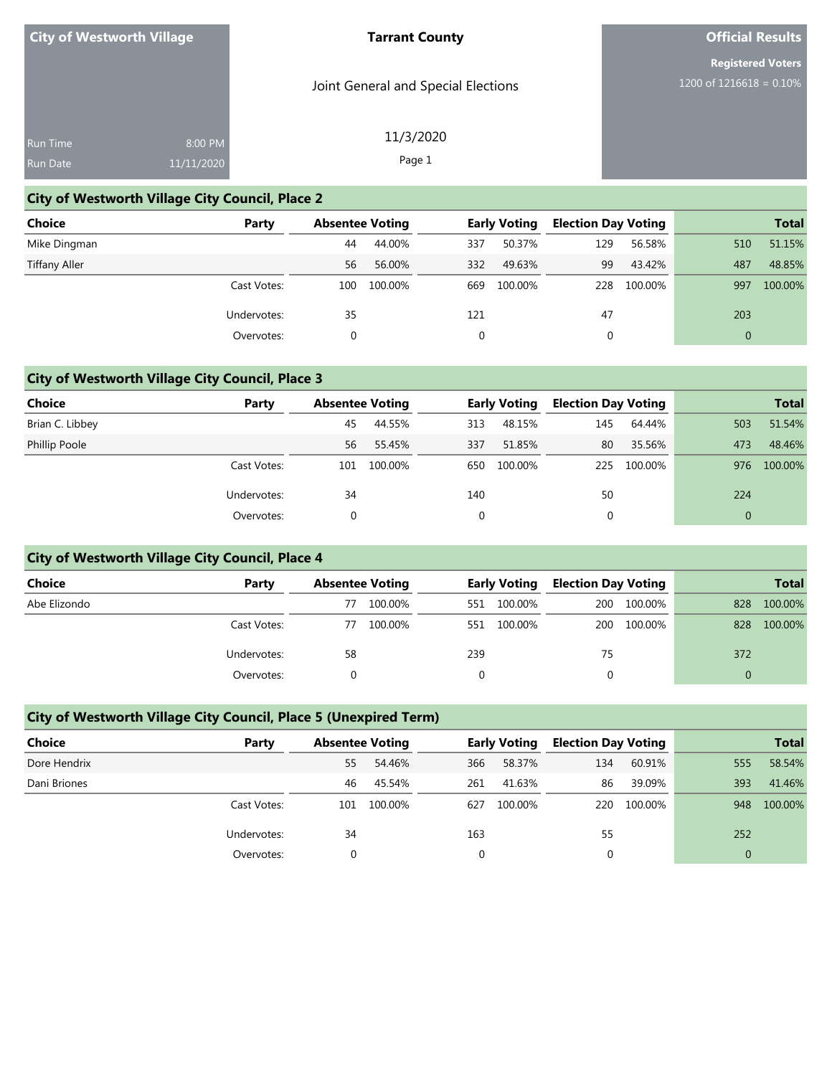#### **Tarrant County**

Joint General and Special Elections

11/3/2020 Page 1

### **Official Results**

**Registered Voters** 1200 of 1216618 = 0.10%

| <b>Run Time</b> | 8:00 PM    |
|-----------------|------------|
| Run Date        | 11/11/2020 |

## **City of Westworth Village City Council, Place 2**

| <b>Choice</b>        | Party       | <b>Absentee Voting</b> |         | <b>Early Voting</b> |         | <b>Election Day Voting</b> |         |              | <b>Total</b> |
|----------------------|-------------|------------------------|---------|---------------------|---------|----------------------------|---------|--------------|--------------|
| Mike Dingman         |             | 44                     | 44.00%  | 337                 | 50.37%  | 129                        | 56.58%  | 510          | 51.15%       |
| <b>Tiffany Aller</b> |             | 56                     | 56.00%  | 332                 | 49.63%  | 99                         | 43.42%  | 487          | 48.85%       |
|                      | Cast Votes: | 100                    | 100.00% | 669                 | 100.00% | 228                        | 100.00% | 997          | 100.00%      |
|                      | Undervotes: | 35                     |         | 121                 |         | 47                         |         | 203          |              |
|                      | Overvotes:  | 0                      |         |                     |         | 0                          |         | $\mathbf{0}$ |              |

### **City of Westworth Village City Council, Place 3**

| Choice          | Party       | <b>Absentee Voting</b> |         | <b>Early Voting</b> |         | <b>Election Day Voting</b> |         | <b>Total</b> |         |
|-----------------|-------------|------------------------|---------|---------------------|---------|----------------------------|---------|--------------|---------|
| Brian C. Libbey |             | 45                     | 44.55%  | 313                 | 48.15%  | 145                        | 64.44%  | 503          | 51.54%  |
| Phillip Poole   |             | 56                     | 55.45%  | 337                 | 51.85%  | 80                         | 35.56%  | 473          | 48.46%  |
|                 | Cast Votes: | 101                    | 100.00% | 650                 | 100.00% | 225                        | 100.00% | 976          | 100.00% |
|                 | Undervotes: | 34                     |         | 140                 |         | 50                         |         | 224          |         |
|                 | Overvotes:  |                        |         | 0                   |         |                            |         |              |         |

### **City of Westworth Village City Council, Place 4**

| <b>Choice</b> | Party       | <b>Absentee Voting</b> |         | <b>Early Voting</b> |         | <b>Election Day Voting</b> |         | <b>Total</b> |         |
|---------------|-------------|------------------------|---------|---------------------|---------|----------------------------|---------|--------------|---------|
| Abe Elizondo  |             | 77                     | 100.00% | 551                 | 100.00% | 200                        | 100.00% | 828          | 100.00% |
|               | Cast Votes: | 77                     | 100.00% | 551                 | 100.00% | 200                        | 100.00% | 828          | 100.00% |
|               | Undervotes: | 58                     |         | 239                 |         | 75                         |         | 372          |         |
|               | Overvotes:  |                        |         |                     |         |                            |         |              |         |

### **City of Westworth Village City Council, Place 5 (Unexpired Term)**

| Choice       | Party       | <b>Absentee Voting</b> |         | <b>Early Voting</b> |         | <b>Election Day Voting</b> |         |                | <b>Total</b> |
|--------------|-------------|------------------------|---------|---------------------|---------|----------------------------|---------|----------------|--------------|
| Dore Hendrix |             | 55                     | 54.46%  | 366                 | 58.37%  | 134                        | 60.91%  | 555            | 58.54%       |
| Dani Briones |             | 46                     | 45.54%  | 261                 | 41.63%  | 86                         | 39.09%  | 393            | 41.46%       |
|              | Cast Votes: | 101                    | 100.00% | 627                 | 100.00% | 220                        | 100.00% | 948            | 100.00%      |
|              | Undervotes: | 34                     |         | 163                 |         | 55                         |         | 252            |              |
|              | Overvotes:  |                        |         | 0                   |         |                            |         | $\overline{0}$ |              |